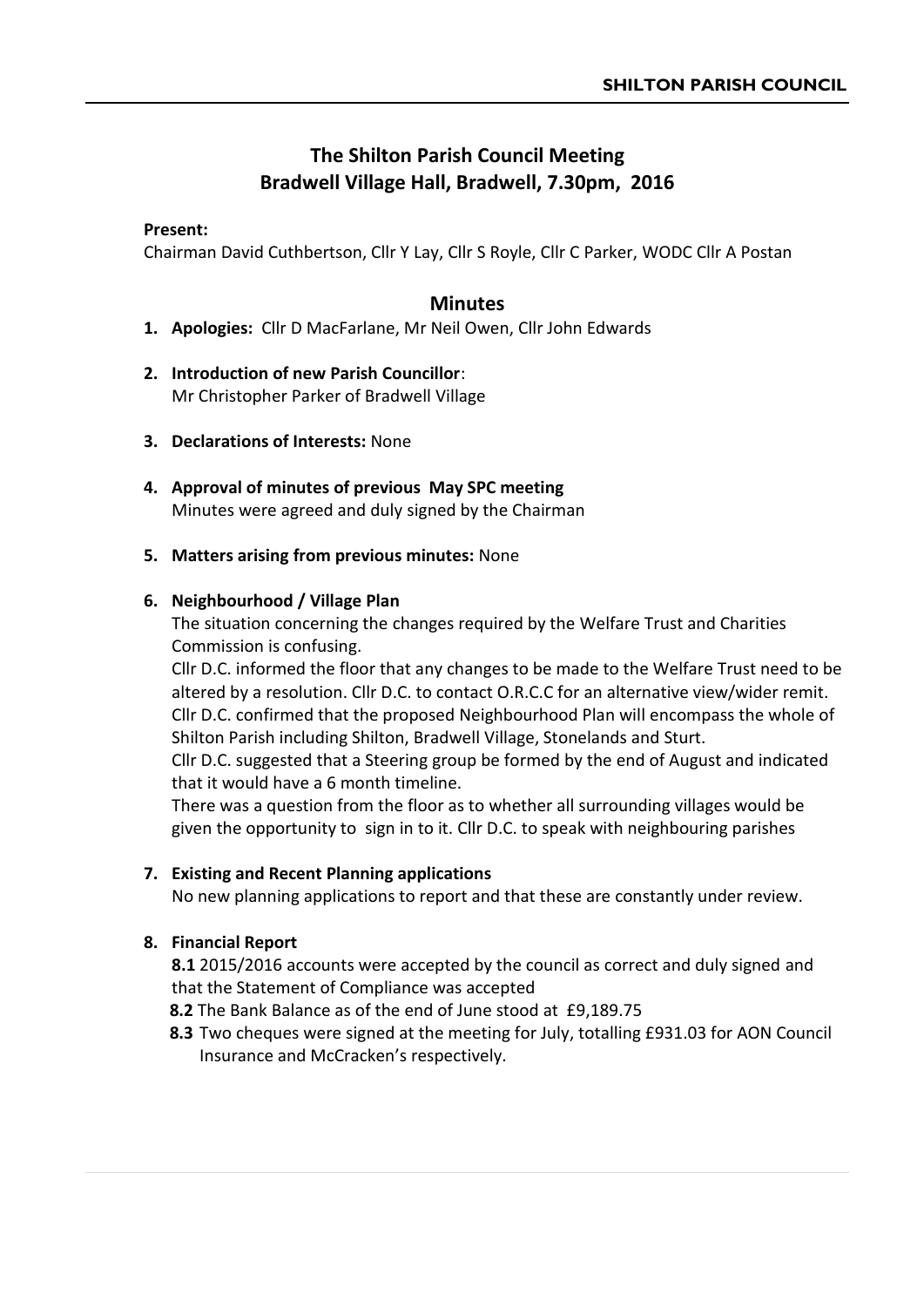# **The Shilton Parish Council Meeting Bradwell Village Hall, Bradwell, 7.30pm, 2016**

#### **Present:**

Chairman David Cuthbertson, Cllr Y Lay, Cllr S Royle, Cllr C Parker, WODC Cllr A Postan

## **Minutes**

- **1. Apologies:** Cllr D MacFarlane, Mr Neil Owen, Cllr John Edwards
- **2. Introduction of new Parish Councillor**: Mr Christopher Parker of Bradwell Village
- **3. Declarations of Interests:** None
- **4. Approval of minutes of previous May SPC meeting** Minutes were agreed and duly signed by the Chairman

#### **5. Matters arising from previous minutes:** None

#### **6. Neighbourhood / Village Plan**

The situation concerning the changes required by the Welfare Trust and Charities Commission is confusing.

Cllr D.C. informed the floor that any changes to be made to the Welfare Trust need to be altered by a resolution. Cllr D.C. to contact O.R.C.C for an alternative view/wider remit. Cllr D.C. confirmed that the proposed Neighbourhood Plan will encompass the whole of Shilton Parish including Shilton, Bradwell Village, Stonelands and Sturt.

Cllr D.C. suggested that a Steering group be formed by the end of August and indicated that it would have a 6 month timeline.

There was a question from the floor as to whether all surrounding villages would be given the opportunity to sign in to it. Cllr D.C. to speak with neighbouring parishes

### **7. Existing and Recent Planning applications**

No new planning applications to report and that these are constantly under review.

#### **8. Financial Report**

**8.1** 2015/2016 accounts were accepted by the council as correct and duly signed and that the Statement of Compliance was accepted

**8.2** The Bank Balance as of the end of June stood at £9,189.75

 **8.3** Two cheques were signed at the meeting for July, totalling £931.03 for AON Council Insurance and McCracken's respectively.